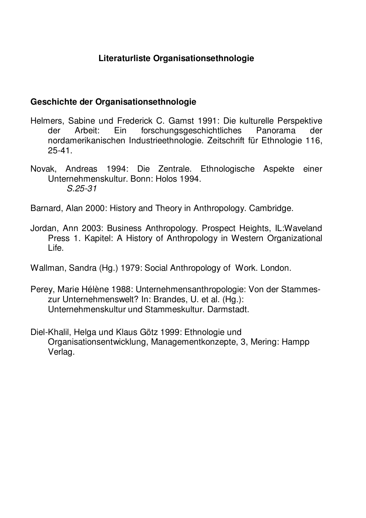# **Literaturliste Organisationsethnologie**

#### **Geschichte der Organisationsethnologie**

- Helmers, Sabine und Frederick C. Gamst 1991: Die kulturelle Perspektive der Arbeit: Ein forschungsgeschichtliches Panorama der nordamerikanischen Industrieethnologie. Zeitschrift für Ethnologie 116, 25-41.
- Novak, Andreas 1994: Die Zentrale. Ethnologische Aspekte einer Unternehmenskultur. Bonn: Holos 1994. S.25-31
- Barnard, Alan 2000: History and Theory in Anthropology. Cambridge.
- Jordan, Ann 2003: Business Anthropology. Prospect Heights, IL:Waveland Press 1. Kapitel: A History of Anthropology in Western Organizational Life.

Wallman, Sandra (Hg.) 1979: Social Anthropology of Work. London.

- Perey, Marie Hélène 1988: Unternehmensanthropologie: Von der Stammeszur Unternehmenswelt? In: Brandes, U. et al. (Hg.): Unternehmenskultur und Stammeskultur. Darmstadt.
- Diel-Khalil, Helga und Klaus Götz 1999: Ethnologie und Organisationsentwicklung, Managementkonzepte, 3, Mering: Hampp Verlag.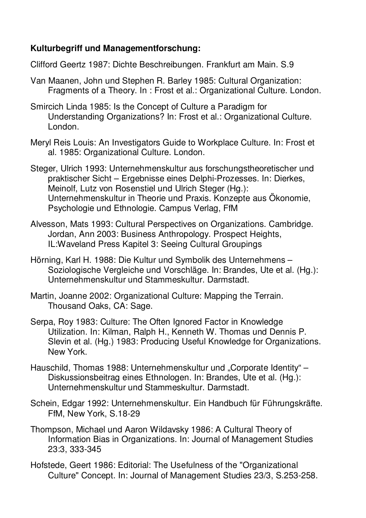### **Kulturbegriff und Managementforschung:**

Clifford Geertz 1987: Dichte Beschreibungen. Frankfurt am Main. S.9

- Van Maanen, John und Stephen R. Barley 1985: Cultural Organization: Fragments of a Theory. In : Frost et al.: Organizational Culture. London.
- Smircich Linda 1985: Is the Concept of Culture a Paradigm for Understanding Organizations? In: Frost et al.: Organizational Culture. London.
- Meryl Reis Louis: An Investigators Guide to Workplace Culture. In: Frost et al. 1985: Organizational Culture. London.
- Steger, Ulrich 1993: Unternehmenskultur aus forschungstheoretischer und praktischer Sicht – Ergebnisse eines Delphi-Prozesses. In: Dierkes, Meinolf, Lutz von Rosenstiel und Ulrich Steger (Hg.): Unternehmenskultur in Theorie und Praxis. Konzepte aus Ökonomie, Psychologie und Ethnologie. Campus Verlag, FfM
- Alvesson, Mats 1993: Cultural Perspectives on Organizations. Cambridge. Jordan, Ann 2003: Business Anthropology. Prospect Heights, IL:Waveland Press Kapitel 3: Seeing Cultural Groupings
- Hörning, Karl H. 1988: Die Kultur und Symbolik des Unternehmens Soziologische Vergleiche und Vorschläge. In: Brandes, Ute et al. (Hg.): Unternehmenskultur und Stammeskultur. Darmstadt.
- Martin, Joanne 2002: Organizational Culture: Mapping the Terrain. Thousand Oaks, CA: Sage.
- Serpa, Roy 1983: Culture: The Often Ignored Factor in Knowledge Utilization. In: Kilman, Ralph H., Kenneth W. Thomas und Dennis P. Slevin et al. (Hg.) 1983: Producing Useful Knowledge for Organizations. New York.
- Hauschild, Thomas 1988: Unternehmenskultur und "Corporate Identity" Diskussionsbeitrag eines Ethnologen. In: Brandes, Ute et al. (Hg.): Unternehmenskultur und Stammeskultur. Darmstadt.
- Schein, Edgar 1992: Unternehmenskultur. Ein Handbuch für Führungskräfte. FfM, New York, S.18-29
- Thompson, Michael und Aaron Wildavsky 1986: A Cultural Theory of Information Bias in Organizations. In: Journal of Management Studies 23:3, 333-345
- Hofstede, Geert 1986: Editorial: The Usefulness of the "Organizational Culture" Concept. In: Journal of Management Studies 23/3, S.253-258.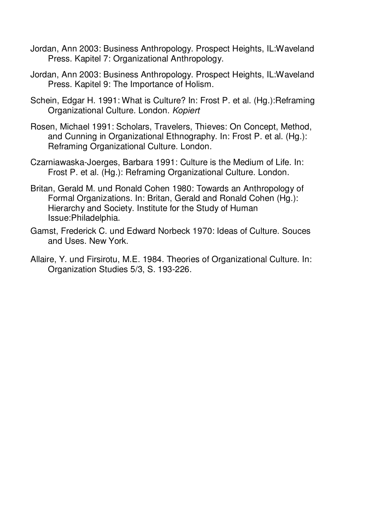- Jordan, Ann 2003: Business Anthropology. Prospect Heights, IL:Waveland Press. Kapitel 7: Organizational Anthropology.
- Jordan, Ann 2003: Business Anthropology. Prospect Heights, IL:Waveland Press. Kapitel 9: The Importance of Holism.
- Schein, Edgar H. 1991: What is Culture? In: Frost P. et al. (Hg.):Reframing Organizational Culture. London. Kopiert
- Rosen, Michael 1991: Scholars, Travelers, Thieves: On Concept, Method, and Cunning in Organizational Ethnography. In: Frost P. et al. (Hg.): Reframing Organizational Culture. London.
- Czarniawaska-Joerges, Barbara 1991: Culture is the Medium of Life. In: Frost P. et al. (Hg.): Reframing Organizational Culture. London.
- Britan, Gerald M. und Ronald Cohen 1980: Towards an Anthropology of Formal Organizations. In: Britan, Gerald and Ronald Cohen (Hg.): Hierarchy and Society. Institute for the Study of Human Issue:Philadelphia.
- Gamst, Frederick C. und Edward Norbeck 1970: Ideas of Culture. Souces and Uses. New York.
- Allaire, Y. und Firsirotu, M.E. 1984. Theories of Organizational Culture. In: Organization Studies 5/3, S. 193-226.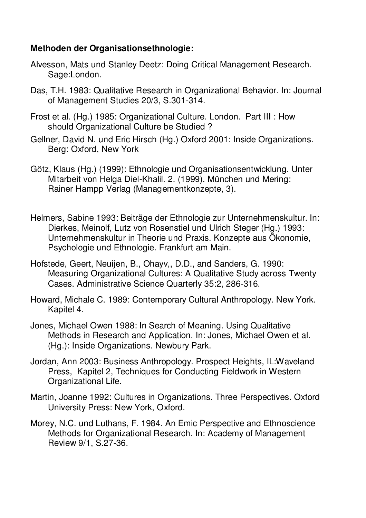## **Methoden der Organisationsethnologie:**

- Alvesson, Mats und Stanley Deetz: Doing Critical Management Research. Sage:London.
- Das, T.H. 1983: Qualitative Research in Organizational Behavior. In: Journal of Management Studies 20/3, S.301-314.
- Frost et al. (Hg.) 1985: Organizational Culture. London. Part III : How should Organizational Culture be Studied ?
- Gellner, David N. und Eric Hirsch (Hg.) Oxford 2001: Inside Organizations. Berg: Oxford, New York
- Götz, Klaus (Hg.) (1999): Ethnologie und Organisationsentwicklung. Unter Mitarbeit von Helga Diel-Khalil. 2. (1999). München und Mering: Rainer Hampp Verlag (Managementkonzepte, 3).
- Helmers, Sabine 1993: Beiträge der Ethnologie zur Unternehmenskultur. In: Dierkes, Meinolf, Lutz von Rosenstiel und Ulrich Steger (Hg.) 1993: Unternehmenskultur in Theorie und Praxis. Konzepte aus Ökonomie, Psychologie und Ethnologie. Frankfurt am Main.
- Hofstede, Geert, Neuijen, B., Ohayv,, D.D., and Sanders, G. 1990: Measuring Organizational Cultures: A Qualitative Study across Twenty Cases. Administrative Science Quarterly 35:2, 286-316.
- Howard, Michale C. 1989: Contemporary Cultural Anthropology. New York. Kapitel 4.
- Jones, Michael Owen 1988: In Search of Meaning. Using Qualitative Methods in Research and Application. In: Jones, Michael Owen et al. (Hg.): Inside Organizations. Newbury Park.
- Jordan, Ann 2003: Business Anthropology. Prospect Heights, IL:Waveland Press, Kapitel 2, Techniques for Conducting Fieldwork in Western Organizational Life.
- Martin, Joanne 1992: Cultures in Organizations. Three Perspectives. Oxford University Press: New York, Oxford.
- Morey, N.C. und Luthans, F. 1984. An Emic Perspective and Ethnoscience Methods for Organizational Research. In: Academy of Management Review 9/1, S.27-36.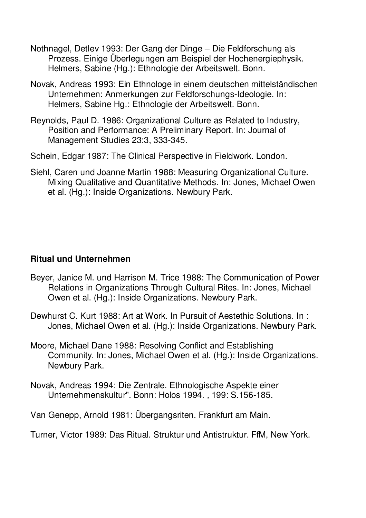- Nothnagel, Detlev 1993: Der Gang der Dinge Die Feldforschung als Prozess. Einige Überlegungen am Beispiel der Hochenergiephysik. Helmers, Sabine (Hg.): Ethnologie der Arbeitswelt. Bonn.
- Novak, Andreas 1993: Ein Ethnologe in einem deutschen mittelständischen Unternehmen: Anmerkungen zur Feldforschungs-Ideologie. In: Helmers, Sabine Hg.: Ethnologie der Arbeitswelt. Bonn.
- Reynolds, Paul D. 1986: Organizational Culture as Related to Industry, Position and Performance: A Preliminary Report. In: Journal of Management Studies 23:3, 333-345.
- Schein, Edgar 1987: The Clinical Perspective in Fieldwork. London.
- Siehl, Caren und Joanne Martin 1988: Measuring Organizational Culture. Mixing Qualitative and Quantitative Methods. In: Jones, Michael Owen et al. (Hg.): Inside Organizations. Newbury Park.

## **Ritual und Unternehmen**

- Beyer, Janice M. und Harrison M. Trice 1988: The Communication of Power Relations in Organizations Through Cultural Rites. In: Jones, Michael Owen et al. (Hg.): Inside Organizations. Newbury Park.
- Dewhurst C. Kurt 1988: Art at Work. In Pursuit of Aestethic Solutions. In : Jones, Michael Owen et al. (Hg.): Inside Organizations. Newbury Park.
- Moore, Michael Dane 1988: Resolving Conflict and Establishing Community. In: Jones, Michael Owen et al. (Hg.): Inside Organizations. Newbury Park.
- Novak, Andreas 1994: Die Zentrale. Ethnologische Aspekte einer Unternehmenskultur". Bonn: Holos 1994. , 199: S.156-185.

Van Genepp, Arnold 1981: Übergangsriten. Frankfurt am Main.

Turner, Victor 1989: Das Ritual. Struktur und Antistruktur. FfM, New York.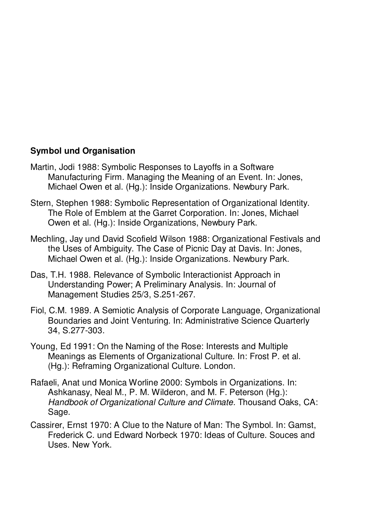# **Symbol und Organisation**

- Martin, Jodi 1988: Symbolic Responses to Layoffs in a Software Manufacturing Firm. Managing the Meaning of an Event. In: Jones, Michael Owen et al. (Hg.): Inside Organizations. Newbury Park.
- Stern, Stephen 1988: Symbolic Representation of Organizational Identity. The Role of Emblem at the Garret Corporation. In: Jones, Michael Owen et al. (Hg.): Inside Organizations, Newbury Park.
- Mechling, Jay und David Scofield Wilson 1988: Organizational Festivals and the Uses of Ambiguity. The Case of Picnic Day at Davis. In: Jones, Michael Owen et al. (Hg.): Inside Organizations. Newbury Park.
- Das, T.H. 1988. Relevance of Symbolic Interactionist Approach in Understanding Power; A Preliminary Analysis. In: Journal of Management Studies 25/3, S.251-267.
- Fiol, C.M. 1989. A Semiotic Analysis of Corporate Language, Organizational Boundaries and Joint Venturing. In: Administrative Science Quarterly 34, S.277-303.
- Young, Ed 1991: On the Naming of the Rose: Interests and Multiple Meanings as Elements of Organizational Culture. In: Frost P. et al. (Hg.): Reframing Organizational Culture. London.
- Rafaeli, Anat und Monica Worline 2000: Symbols in Organizations. In: Ashkanasy, Neal M., P. M. Wilderon, and M. F. Peterson (Hg.): Handbook of Organizational Culture and Climate. Thousand Oaks, CA: Sage.
- Cassirer, Ernst 1970: A Clue to the Nature of Man: The Symbol. In: Gamst, Frederick C. und Edward Norbeck 1970: Ideas of Culture. Souces and Uses. New York.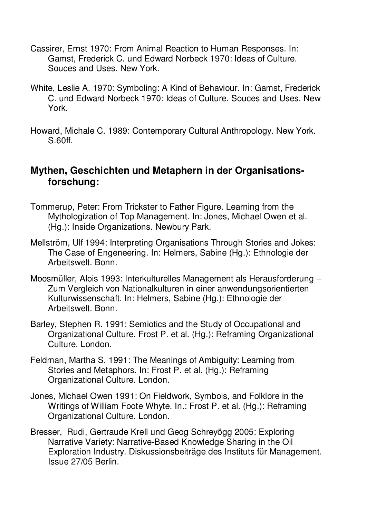- Cassirer, Ernst 1970: From Animal Reaction to Human Responses. In: Gamst, Frederick C. und Edward Norbeck 1970: Ideas of Culture. Souces and Uses. New York.
- White, Leslie A. 1970: Symboling: A Kind of Behaviour. In: Gamst, Frederick C. und Edward Norbeck 1970: Ideas of Culture. Souces and Uses. New York.
- Howard, Michale C. 1989: Contemporary Cultural Anthropology. New York. S.60ff.

# **Mythen, Geschichten und Metaphern in der Organisationsforschung:**

- Tommerup, Peter: From Trickster to Father Figure. Learning from the Mythologization of Top Management. In: Jones, Michael Owen et al. (Hg.): Inside Organizations. Newbury Park.
- Mellström, Ulf 1994: Interpreting Organisations Through Stories and Jokes: The Case of Engeneering. In: Helmers, Sabine (Hg.): Ethnologie der Arbeitswelt. Bonn.
- Moosmüller, Alois 1993: Interkulturelles Management als Herausforderung Zum Vergleich von Nationalkulturen in einer anwendungsorientierten Kulturwissenschaft. In: Helmers, Sabine (Hg.): Ethnologie der Arbeitswelt. Bonn.
- Barley, Stephen R. 1991: Semiotics and the Study of Occupational and Organizational Culture. Frost P. et al. (Hg.): Reframing Organizational Culture. London.
- Feldman, Martha S. 1991: The Meanings of Ambiguity: Learning from Stories and Metaphors. In: Frost P. et al. (Hg.): Reframing Organizational Culture. London.
- Jones, Michael Owen 1991: On Fieldwork, Symbols, and Folklore in the Writings of William Foote Whyte. In.: Frost P. et al. (Hg.): Reframing Organizational Culture. London.
- Bresser, Rudi, Gertraude Krell und Geog Schreyögg 2005: Exploring Narrative Variety: Narrative-Based Knowledge Sharing in the Oil Exploration Industry. Diskussionsbeiträge des Instituts für Management. Issue 27/05 Berlin.